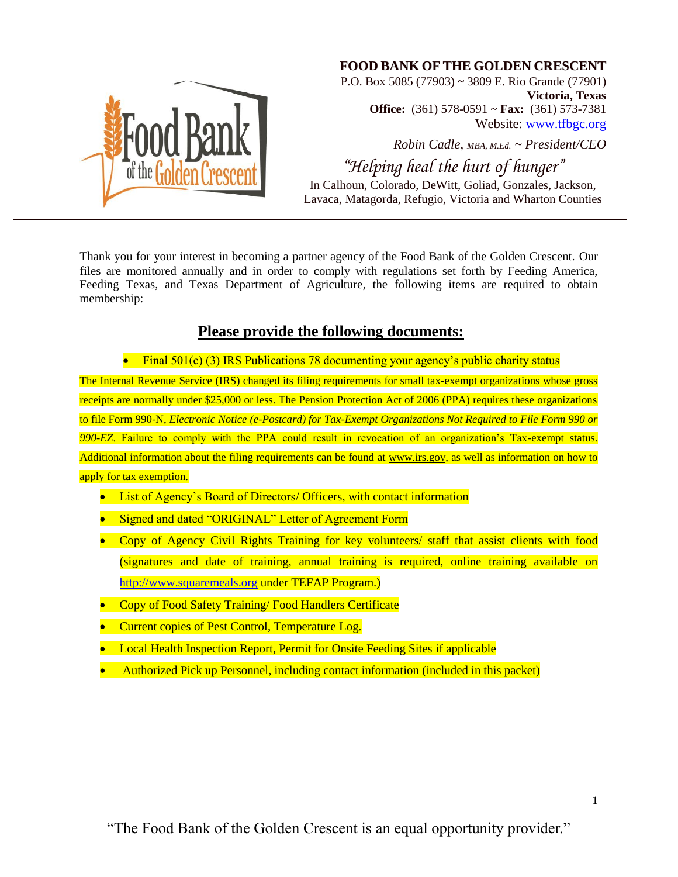

## **FOOD BANK OF THE GOLDEN CRESCENT**

P.O. Box 5085 (77903) **~** 3809 E. Rio Grande (77901) **Victoria, Texas Office:** (361) 578-0591 ~ **Fax:** (361) 573-7381 Website: [www.tfbgc.org](http://www.tfbgc.org/)

*Robin Cadle, MBA, M.Ed. ~ President/CEO*

*"Helping heal the hurt of hunger"* In Calhoun, Colorado, DeWitt, Goliad, Gonzales, Jackson, Lavaca, Matagorda, Refugio, Victoria and Wharton Counties

Thank you for your interest in becoming a partner agency of the Food Bank of the Golden Crescent. Our files are monitored annually and in order to comply with regulations set forth by Feeding America, Feeding Texas, and Texas Department of Agriculture, the following items are required to obtain membership:

# **Please provide the following documents:**

• Final 501(c) (3) IRS Publications 78 documenting your agency's public charity status

The Internal Revenue Service (IRS) changed its filing requirements for small tax-exempt organizations whose gross receipts are normally under \$25,000 or less. The Pension Protection Act of 2006 (PPA) requires these organizations to file Form 990-N, *Electronic Notice (e-Postcard) for Tax-Exempt Organizations Not Required to File Form 990 or 990-EZ*. Failure to comply with the PPA could result in revocation of an organization's Tax-exempt status. Additional information about the filing requirements can be found at www.irs.gov, as well as information on how to apply for tax exemption.

- List of Agency's Board of Directors/ Officers, with contact information
- Signed and dated "ORIGINAL" Letter of Agreement Form
- Copy of Agency Civil Rights Training for key volunteers/ staff that assist clients with food (signatures and date of training, annual training is required, online training available on [http://www.squaremeals.org](http://www.squaremeals.org/) under TEFAP Program.)
- Copy of Food Safety Training/ Food Handlers Certificate
- Current copies of Pest Control, Temperature Log.
- Local Health Inspection Report, Permit for Onsite Feeding Sites if applicable
- Authorized Pick up Personnel, including contact information (included in this packet)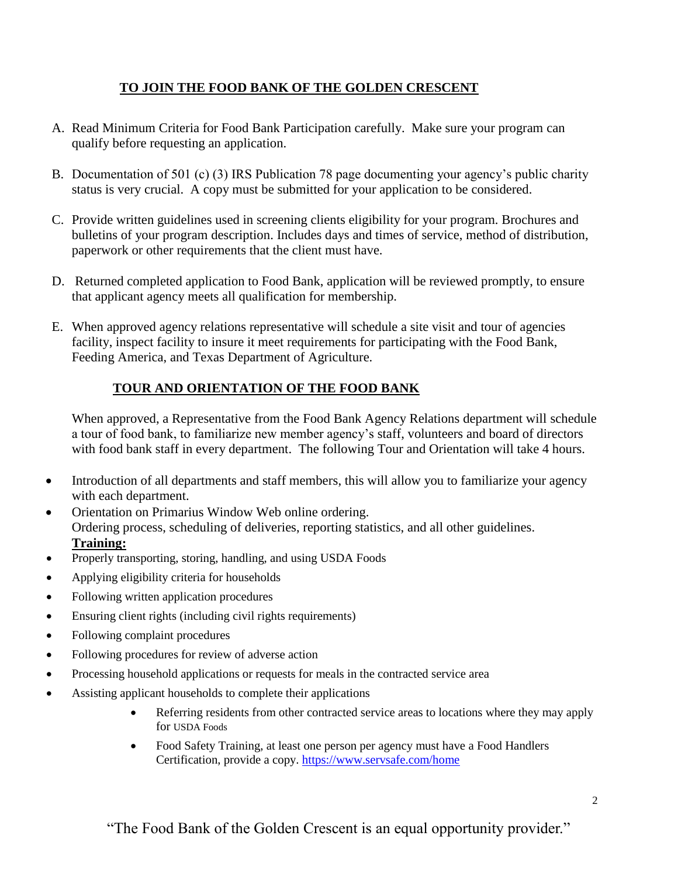# **TO JOIN THE FOOD BANK OF THE GOLDEN CRESCENT**

- A. Read Minimum Criteria for Food Bank Participation carefully. Make sure your program can qualify before requesting an application.
- B. Documentation of 501 (c) (3) IRS Publication 78 page documenting your agency's public charity status is very crucial. A copy must be submitted for your application to be considered.
- C. Provide written guidelines used in screening clients eligibility for your program. Brochures and bulletins of your program description. Includes days and times of service, method of distribution, paperwork or other requirements that the client must have.
- D. Returned completed application to Food Bank, application will be reviewed promptly, to ensure that applicant agency meets all qualification for membership.
- E. When approved agency relations representative will schedule a site visit and tour of agencies facility, inspect facility to insure it meet requirements for participating with the Food Bank, Feeding America, and Texas Department of Agriculture.

# **TOUR AND ORIENTATION OF THE FOOD BANK**

When approved, a Representative from the Food Bank Agency Relations department will schedule a tour of food bank, to familiarize new member agency's staff, volunteers and board of directors with food bank staff in every department. The following Tour and Orientation will take 4 hours.

- Introduction of all departments and staff members, this will allow you to familiarize your agency with each department.
- Orientation on Primarius Window Web online ordering. Ordering process, scheduling of deliveries, reporting statistics, and all other guidelines. **Training:**
- Properly transporting, storing, handling, and using USDA Foods
- Applying eligibility criteria for households
- Following written application procedures
- Ensuring client rights (including civil rights requirements)
- Following complaint procedures
- Following procedures for review of adverse action
- Processing household applications or requests for meals in the contracted service area
- Assisting applicant households to complete their applications
	- Referring residents from other contracted service areas to locations where they may apply for USDA Foods
	- Food Safety Training, at least one person per agency must have a Food Handlers Certification, provide a copy.<https://www.servsafe.com/home>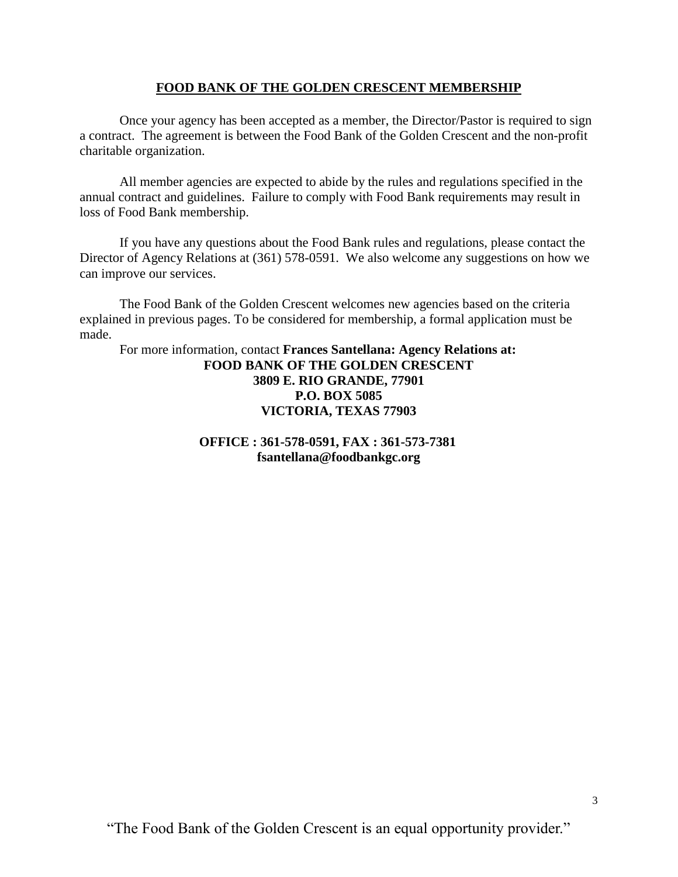## **FOOD BANK OF THE GOLDEN CRESCENT MEMBERSHIP**

Once your agency has been accepted as a member, the Director/Pastor is required to sign a contract. The agreement is between the Food Bank of the Golden Crescent and the non-profit charitable organization.

All member agencies are expected to abide by the rules and regulations specified in the annual contract and guidelines. Failure to comply with Food Bank requirements may result in loss of Food Bank membership.

If you have any questions about the Food Bank rules and regulations, please contact the Director of Agency Relations at (361) 578-0591. We also welcome any suggestions on how we can improve our services.

The Food Bank of the Golden Crescent welcomes new agencies based on the criteria explained in previous pages. To be considered for membership, a formal application must be made.

For more information, contact **Frances Santellana: Agency Relations at: FOOD BANK OF THE GOLDEN CRESCENT 3809 E. RIO GRANDE, 77901 P.O. BOX 5085 VICTORIA, TEXAS 77903**

> **OFFICE : 361-578-0591, FAX : 361-573-7381 fsantellana@foodbankgc.org**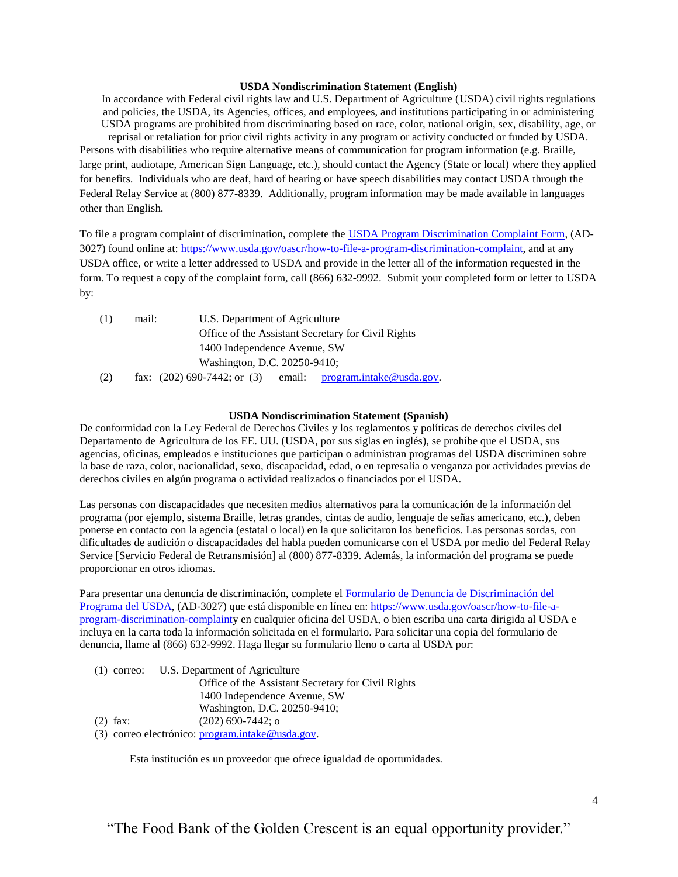#### **USDA Nondiscrimination Statement (English)**

In accordance with Federal civil rights law and U.S. Department of Agriculture (USDA) civil rights regulations and policies, the USDA, its Agencies, offices, and employees, and institutions participating in or administering USDA programs are prohibited from discriminating based on race, color, national origin, sex, disability, age, or reprisal or retaliation for prior civil rights activity in any program or activity conducted or funded by USDA. Persons with disabilities who require alternative means of communication for program information (e.g. Braille, large print, audiotape, American Sign Language, etc.), should contact the Agency (State or local) where they applied for benefits. Individuals who are deaf, hard of hearing or have speech disabilities may contact USDA through the Federal Relay Service at (800) 877-8339. Additionally, program information may be made available in languages other than English.

To file a program complaint of discrimination, complete the [USDA Program Discrimination Complaint Form,](https://www.usda.gov/sites/default/files/documents/USDA-OASCR%20P-Complaint-Form-0508-0002-508-11-28-17Fax2Mail.pdf) (AD-3027) found online at: [https://www.usda.gov/oascr/how-to-file-a-program-discrimination-complaint,](https://www.usda.gov/oascr/how-to-file-a-program-discrimination-complaint) and at any USDA office, or write a letter addressed to USDA and provide in the letter all of the information requested in the form. To request a copy of the complaint form, call (866) 632-9992. Submit your completed form or letter to USDA by:

| (1) | mail:                        | U.S. Department of Agriculture                                     |  |  |  |  |
|-----|------------------------------|--------------------------------------------------------------------|--|--|--|--|
|     |                              | Office of the Assistant Secretary for Civil Rights                 |  |  |  |  |
|     |                              | 1400 Independence Avenue, SW                                       |  |  |  |  |
|     | Washington, D.C. 20250-9410; |                                                                    |  |  |  |  |
| (2) |                              | email: program.intake@usda.gov.<br>fax: $(202)$ 690-7442; or $(3)$ |  |  |  |  |

#### **USDA Nondiscrimination Statement (Spanish)**

De conformidad con la Ley Federal de Derechos Civiles y los reglamentos y políticas de derechos civiles del Departamento de Agricultura de los EE. UU. (USDA, por sus siglas en inglés), se prohíbe que el USDA, sus agencias, oficinas, empleados e instituciones que participan o administran programas del USDA discriminen sobre la base de raza, color, nacionalidad, sexo, discapacidad, edad, o en represalia o venganza por actividades previas de derechos civiles en algún programa o actividad realizados o financiados por el USDA.

Las personas con discapacidades que necesiten medios alternativos para la comunicación de la información del programa (por ejemplo, sistema Braille, letras grandes, cintas de audio, lenguaje de señas americano, etc.), deben ponerse en contacto con la agencia (estatal o local) en la que solicitaron los beneficios. Las personas sordas, con dificultades de audición o discapacidades del habla pueden comunicarse con el USDA por medio del Federal Relay Service [Servicio Federal de Retransmisión] al (800) 877-8339. Además, la información del programa se puede proporcionar en otros idiomas.

Para presentar una denuncia de discriminación, complete el [Formulario de Denuncia de Discriminación del](https://www.ocio.usda.gov/sites/default/files/docs/2012/Spanish_Form_508_Compliant_6_8_12_0.pdf)  [Programa del USDA,](https://www.ocio.usda.gov/sites/default/files/docs/2012/Spanish_Form_508_Compliant_6_8_12_0.pdf) (AD-3027) que está disponible en línea en: [https://www.usda.gov/oascr/how-to-file-a](https://www.usda.gov/oascr/how-to-file-a-program-discrimination-complaint)[program-discrimination-complainty](https://www.usda.gov/oascr/how-to-file-a-program-discrimination-complaint) en cualquier oficina del USDA, o bien escriba una carta dirigida al USDA e incluya en la carta toda la información solicitada en el formulario. Para solicitar una copia del formulario de denuncia, llame al (866) 632-9992. Haga llegar su formulario lleno o carta al USDA por:

|            | (1) correo: U.S. Department of Agriculture         |
|------------|----------------------------------------------------|
|            | Office of the Assistant Secretary for Civil Rights |
|            | 1400 Independence Avenue, SW                       |
|            | Washington, D.C. 20250-9410;                       |
| $(2)$ fax: | $(202)$ 690-7442; o                                |
|            |                                                    |

(3) correo electrónico: [program.intake@usda.gov.](mailto:program.intake@usda.gov)

Esta institución es un proveedor que ofrece igualdad de oportunidades.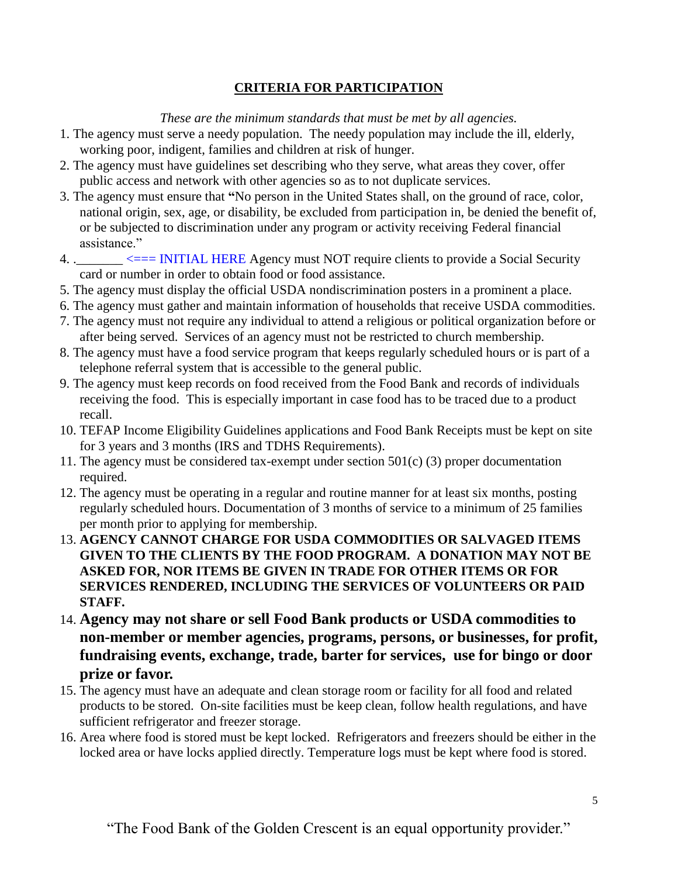## **CRITERIA FOR PARTICIPATION**

*These are the minimum standards that must be met by all agencies.*

- 1. The agency must serve a needy population. The needy population may include the ill, elderly, working poor, indigent, families and children at risk of hunger.
- 2. The agency must have guidelines set describing who they serve, what areas they cover, offer public access and network with other agencies so as to not duplicate services.
- 3. The agency must ensure that **"**No person in the United States shall, on the ground of race, color, national origin, sex, age, or disability, be excluded from participation in, be denied the benefit of, or be subjected to discrimination under any program or activity receiving Federal financial assistance."
- 4. .  $\leq$  = INITIAL HERE Agency must NOT require clients to provide a Social Security card or number in order to obtain food or food assistance.
- 5. The agency must display the official USDA nondiscrimination posters in a prominent a place.
- 6. The agency must gather and maintain information of households that receive USDA commodities.
- 7. The agency must not require any individual to attend a religious or political organization before or after being served. Services of an agency must not be restricted to church membership.
- 8. The agency must have a food service program that keeps regularly scheduled hours or is part of a telephone referral system that is accessible to the general public.
- 9. The agency must keep records on food received from the Food Bank and records of individuals receiving the food. This is especially important in case food has to be traced due to a product recall.
- 10. TEFAP Income Eligibility Guidelines applications and Food Bank Receipts must be kept on site for 3 years and 3 months (IRS and TDHS Requirements).
- 11. The agency must be considered tax-exempt under section 501(c) (3) proper documentation required.
- 12. The agency must be operating in a regular and routine manner for at least six months, posting regularly scheduled hours. Documentation of 3 months of service to a minimum of 25 families per month prior to applying for membership.
- 13. **AGENCY CANNOT CHARGE FOR USDA COMMODITIES OR SALVAGED ITEMS GIVEN TO THE CLIENTS BY THE FOOD PROGRAM. A DONATION MAY NOT BE ASKED FOR, NOR ITEMS BE GIVEN IN TRADE FOR OTHER ITEMS OR FOR SERVICES RENDERED, INCLUDING THE SERVICES OF VOLUNTEERS OR PAID STAFF.**
- 14. **Agency may not share or sell Food Bank products or USDA commodities to non-member or member agencies, programs, persons, or businesses, for profit, fundraising events, exchange, trade, barter for services, use for bingo or door prize or favor.**
- 15. The agency must have an adequate and clean storage room or facility for all food and related products to be stored. On-site facilities must be keep clean, follow health regulations, and have sufficient refrigerator and freezer storage.
- 16. Area where food is stored must be kept locked. Refrigerators and freezers should be either in the locked area or have locks applied directly. Temperature logs must be kept where food is stored.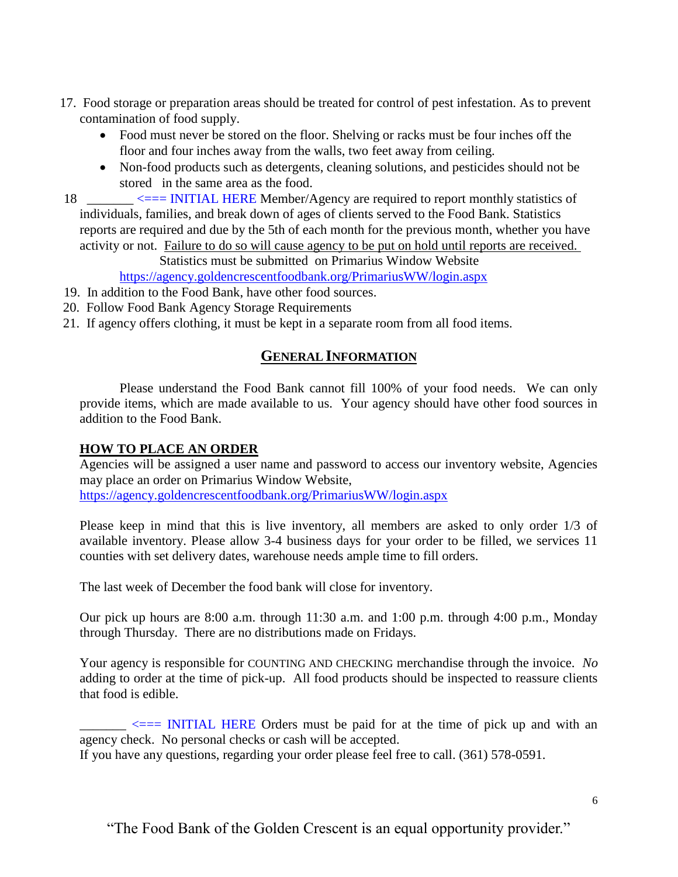- 17. Food storage or preparation areas should be treated for control of pest infestation. As to prevent contamination of food supply.
	- Food must never be stored on the floor. Shelving or racks must be four inches off the floor and four inches away from the walls, two feet away from ceiling.
	- Non-food products such as detergents, cleaning solutions, and pesticides should not be stored in the same area as the food.
- 18 \_\_\_\_\_\_\_ <=== INITIAL HERE Member/Agency are required to report monthly statistics of individuals, families, and break down of ages of clients served to the Food Bank. Statistics reports are required and due by the 5th of each month for the previous month, whether you have activity or not. Failure to do so will cause agency to be put on hold until reports are received.

Statistics must be submitted on Primarius Window Website

<https://agency.goldencrescentfoodbank.org/PrimariusWW/login.aspx>

- 19. In addition to the Food Bank, have other food sources.
- 20. Follow Food Bank Agency Storage Requirements
- 21. If agency offers clothing, it must be kept in a separate room from all food items.

## **GENERAL INFORMATION**

Please understand the Food Bank cannot fill 100% of your food needs. We can only provide items, which are made available to us. Your agency should have other food sources in addition to the Food Bank.

## **HOW TO PLACE AN ORDER**

Agencies will be assigned a user name and password to access our inventory website, Agencies may place an order on Primarius Window Website, <https://agency.goldencrescentfoodbank.org/PrimariusWW/login.aspx>

Please keep in mind that this is live inventory, all members are asked to only order 1/3 of available inventory. Please allow 3-4 business days for your order to be filled, we services 11 counties with set delivery dates, warehouse needs ample time to fill orders.

The last week of December the food bank will close for inventory.

Our pick up hours are 8:00 a.m. through 11:30 a.m. and 1:00 p.m. through 4:00 p.m., Monday through Thursday. There are no distributions made on Fridays.

Your agency is responsible for COUNTING AND CHECKING merchandise through the invoice. *No* adding to order at the time of pick-up. All food products should be inspected to reassure clients that food is edible.

 $\leq$   $\leq$   $\leq$   $\leq$   $\leq$   $\leq$   $\leq$   $\leq$   $\leq$   $\leq$   $\leq$   $\leq$   $\leq$   $\leq$   $\leq$   $\leq$   $\leq$   $\leq$   $\leq$   $\leq$   $\leq$   $\leq$   $\leq$   $\leq$   $\leq$   $\leq$   $\leq$   $\leq$   $\leq$   $\leq$   $\leq$   $\leq$   $\leq$   $\leq$   $\leq$   $\leq$   $\leq$ agency check. No personal checks or cash will be accepted.

If you have any questions, regarding your order please feel free to call. (361) 578-0591.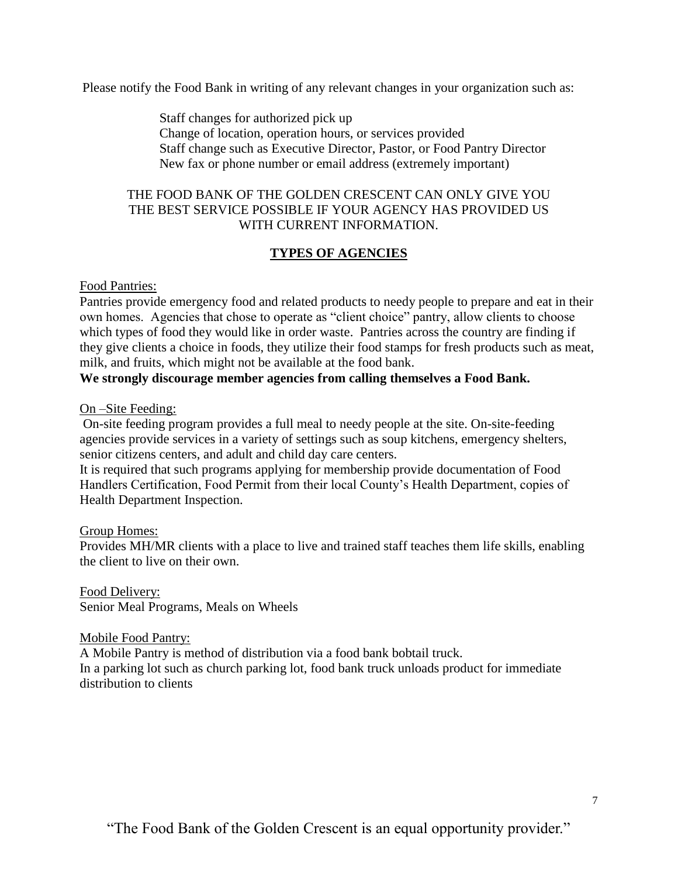Please notify the Food Bank in writing of any relevant changes in your organization such as:

Staff changes for authorized pick up Change of location, operation hours, or services provided Staff change such as Executive Director, Pastor, or Food Pantry Director New fax or phone number or email address (extremely important)

## THE FOOD BANK OF THE GOLDEN CRESCENT CAN ONLY GIVE YOU THE BEST SERVICE POSSIBLE IF YOUR AGENCY HAS PROVIDED US WITH CURRENT INFORMATION.

## **TYPES OF AGENCIES**

## Food Pantries:

Pantries provide emergency food and related products to needy people to prepare and eat in their own homes. Agencies that chose to operate as "client choice" pantry, allow clients to choose which types of food they would like in order waste. Pantries across the country are finding if they give clients a choice in foods, they utilize their food stamps for fresh products such as meat, milk, and fruits, which might not be available at the food bank.

## **We strongly discourage member agencies from calling themselves a Food Bank.**

On –Site Feeding:

On-site feeding program provides a full meal to needy people at the site. On-site-feeding agencies provide services in a variety of settings such as soup kitchens, emergency shelters, senior citizens centers, and adult and child day care centers.

It is required that such programs applying for membership provide documentation of Food Handlers Certification, Food Permit from their local County's Health Department, copies of Health Department Inspection.

## Group Homes:

Provides MH/MR clients with a place to live and trained staff teaches them life skills, enabling the client to live on their own.

Food Delivery: Senior Meal Programs, Meals on Wheels

## Mobile Food Pantry:

A Mobile Pantry is method of distribution via a food bank bobtail truck. In a parking lot such as church parking lot, food bank truck unloads product for immediate distribution to clients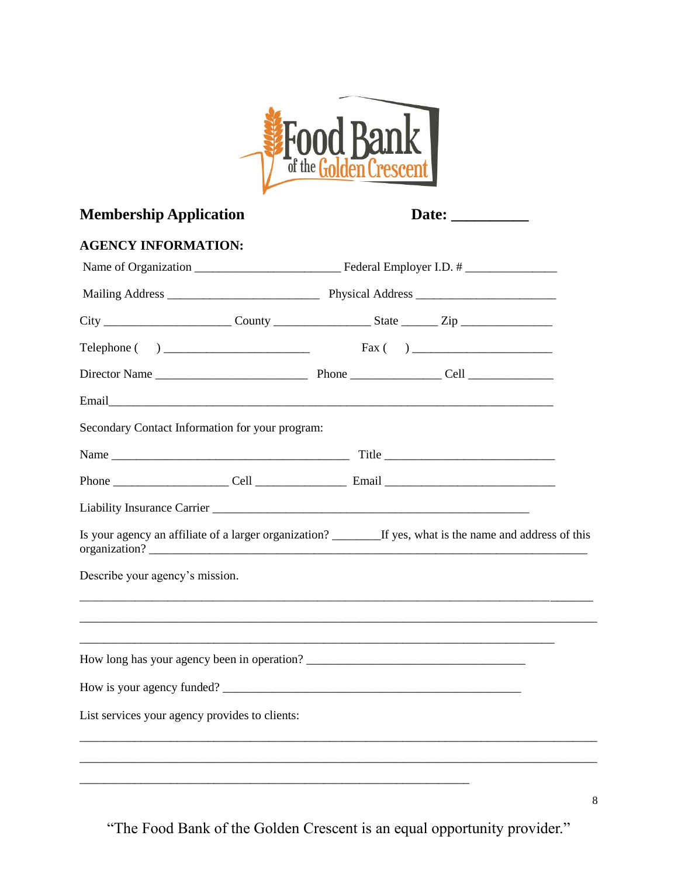

# **Membership Application**

| Date: |  |
|-------|--|

## **AGENCY INFORMATION:**

| Secondary Contact Information for your program: |  |                                                                                                                       |
|-------------------------------------------------|--|-----------------------------------------------------------------------------------------------------------------------|
|                                                 |  |                                                                                                                       |
|                                                 |  |                                                                                                                       |
|                                                 |  |                                                                                                                       |
|                                                 |  | Is your agency an affiliate of a larger organization? _________If yes, what is the name and address of this           |
| Describe your agency's mission.                 |  | <u> 1989 - Johann Stoff, deutscher Stoff, der Stoff, der Stoff, der Stoff, der Stoff, der Stoff, der Stoff, der S</u> |
|                                                 |  |                                                                                                                       |
|                                                 |  |                                                                                                                       |
| How is your agency funded?                      |  |                                                                                                                       |
| List services your agency provides to clients:  |  |                                                                                                                       |
|                                                 |  |                                                                                                                       |
|                                                 |  |                                                                                                                       |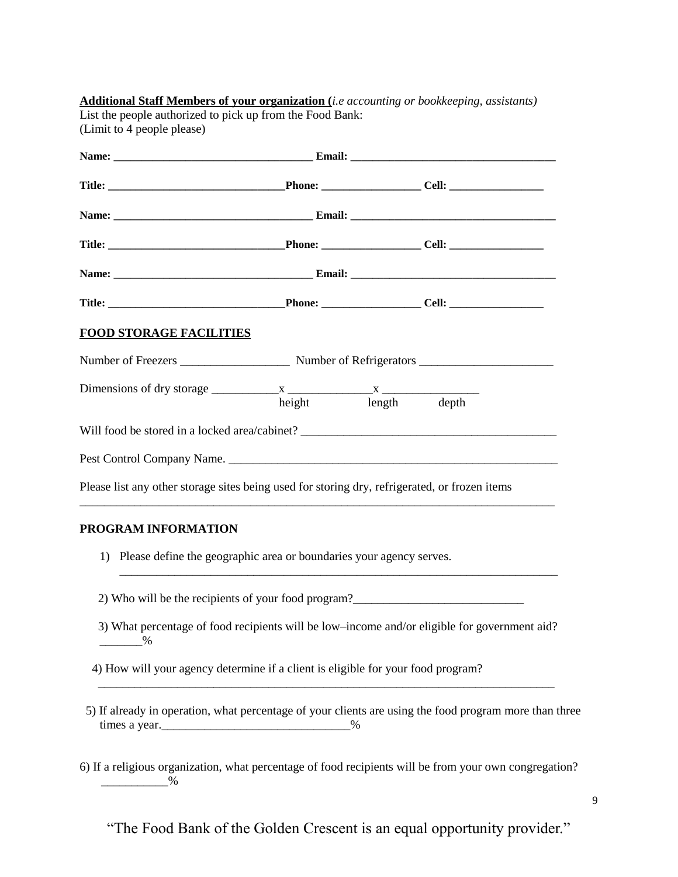| <b>FOOD STORAGE FACILITIES</b>                                                                |                     |  |                                                                                                        |
|-----------------------------------------------------------------------------------------------|---------------------|--|--------------------------------------------------------------------------------------------------------|
|                                                                                               |                     |  |                                                                                                        |
| Dimensions of dry storage $\frac{x}{x}$ $\frac{x}{x}$                                         | height length depth |  |                                                                                                        |
| Will food be stored in a locked area/cabinet? ___________________________________             |                     |  |                                                                                                        |
|                                                                                               |                     |  |                                                                                                        |
| Please list any other storage sites being used for storing dry, refrigerated, or frozen items |                     |  |                                                                                                        |
| PROGRAM INFORMATION                                                                           |                     |  |                                                                                                        |
| Please define the geographic area or boundaries your agency serves.<br>1)                     |                     |  |                                                                                                        |
| 2) Who will be the recipients of your food program?                                           |                     |  |                                                                                                        |
| $\frac{9}{6}$                                                                                 |                     |  | 3) What percentage of food recipients will be low-income and/or eligible for government aid?           |
| 4) How will your agency determine if a client is eligible for your food program?              |                     |  |                                                                                                        |
|                                                                                               |                     |  | 5) If already in operation, what percentage of your clients are using the food program more than three |

"The Food Bank of the Golden Crescent is an equal opportunity provider."

\_\_\_\_\_\_\_\_\_\_\_%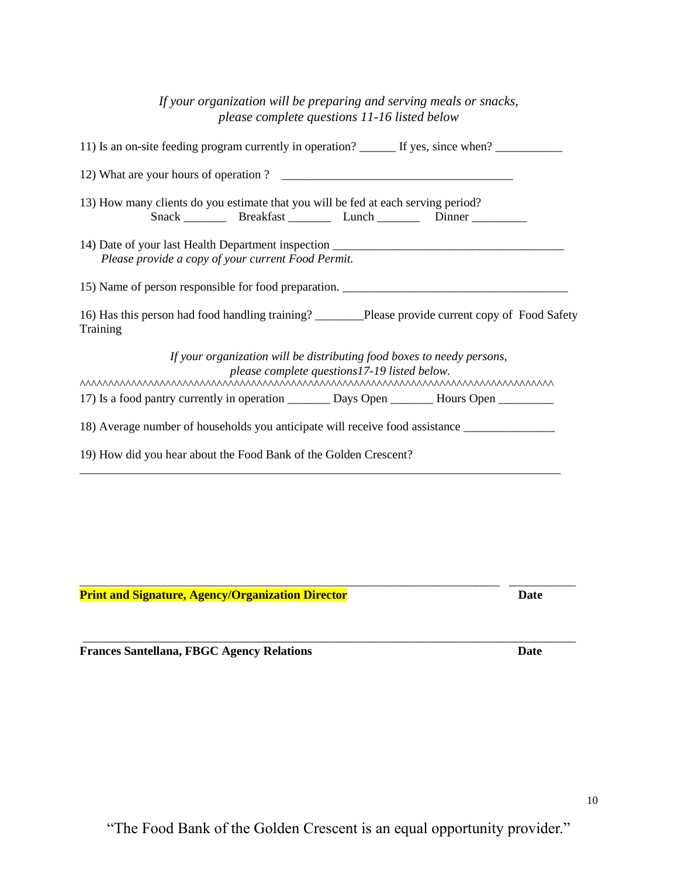\_\_\_\_\_\_\_\_\_\_\_\_\_\_\_\_\_\_\_\_\_\_\_\_\_\_\_\_\_\_\_\_\_\_\_\_\_\_\_\_\_\_\_\_\_\_\_\_\_\_\_\_\_\_\_\_\_\_\_\_\_\_\_\_\_\_\_\_\_ \_\_\_\_\_\_\_\_\_\_\_

| If your organization will be preparing and serving meals or snacks,<br>please complete questions 11-16 listed below                                                   |
|-----------------------------------------------------------------------------------------------------------------------------------------------------------------------|
| 11) Is an on-site feeding program currently in operation? _______ If yes, since when? ______________                                                                  |
|                                                                                                                                                                       |
| 13) How many clients do you estimate that you will be fed at each serving period?<br>Snack __________ Breakfast ___________ Lunch ___________ Dinner ________________ |
| 14) Date of your last Health Department inspection _____________________________<br>Please provide a copy of your current Food Permit.                                |
| 15) Name of person responsible for food preparation.                                                                                                                  |
| 16) Has this person had food handling training? ________Please provide current copy of Food Safety<br>Training                                                        |
| If your organization will be distributing food boxes to needy persons,<br>please complete questions17-19 listed below.                                                |
|                                                                                                                                                                       |
| 18) Average number of households you anticipate will receive food assistance _______________________                                                                  |
| 19) How did you hear about the Food Bank of the Golden Crescent?                                                                                                      |

**Print and Signature, Agency/Organization Director Director Date** 

**Frances Santellana, FBGC Agency Relations Date**

\_\_\_\_\_\_\_\_\_\_\_\_\_\_\_\_\_\_\_\_\_\_\_\_\_\_\_\_\_\_\_\_\_\_\_\_\_\_\_\_\_\_\_\_\_\_\_\_\_\_\_\_\_\_\_\_\_\_\_\_\_\_\_\_\_\_\_\_\_\_\_\_\_\_\_\_\_\_\_\_\_

10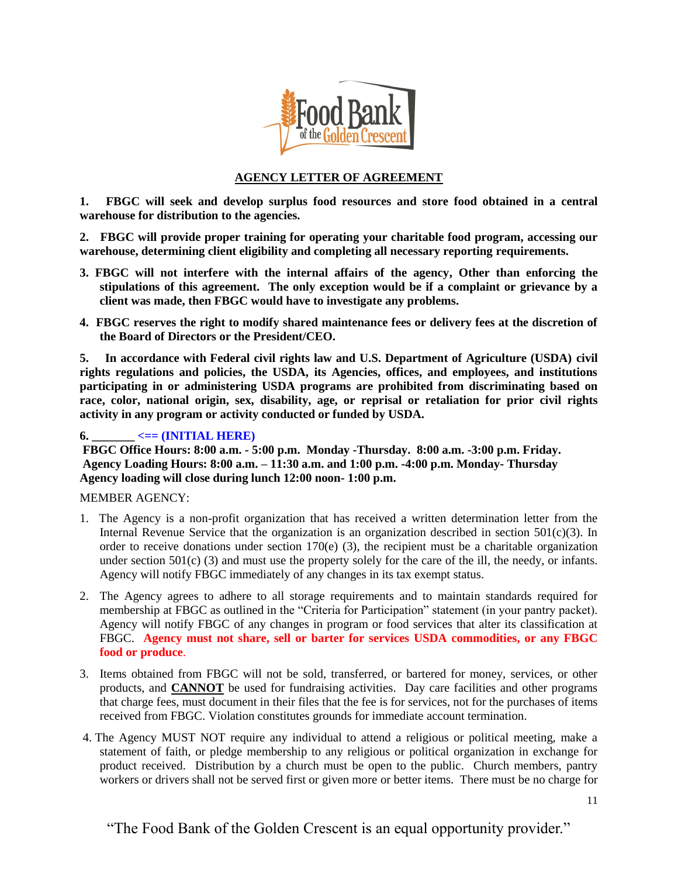

## **AGENCY LETTER OF AGREEMENT**

**1. FBGC will seek and develop surplus food resources and store food obtained in a central warehouse for distribution to the agencies.**

**2. FBGC will provide proper training for operating your charitable food program, accessing our warehouse, determining client eligibility and completing all necessary reporting requirements.** 

- **3. FBGC will not interfere with the internal affairs of the agency, Other than enforcing the stipulations of this agreement. The only exception would be if a complaint or grievance by a client was made, then FBGC would have to investigate any problems.**
- **4. FBGC reserves the right to modify shared maintenance fees or delivery fees at the discretion of the Board of Directors or the President/CEO.**

**5. In accordance with Federal civil rights law and U.S. Department of Agriculture (USDA) civil rights regulations and policies, the USDA, its Agencies, offices, and employees, and institutions participating in or administering USDA programs are prohibited from discriminating based on race, color, national origin, sex, disability, age, or reprisal or retaliation for prior civil rights activity in any program or activity conducted or funded by USDA.**

#### $\epsilon = (\text{INITIAL HERE})$

**FBGC Office Hours: 8:00 a.m. - 5:00 p.m. Monday -Thursday. 8:00 a.m. -3:00 p.m. Friday. Agency Loading Hours: 8:00 a.m. – 11:30 a.m. and 1:00 p.m. -4:00 p.m. Monday- Thursday Agency loading will close during lunch 12:00 noon- 1:00 p.m.**

#### MEMBER AGENCY:

- 1. The Agency is a non-profit organization that has received a written determination letter from the Internal Revenue Service that the organization is an organization described in section  $501(c)(3)$ . In order to receive donations under section  $170(e)$  (3), the recipient must be a charitable organization under section  $501(c)$  (3) and must use the property solely for the care of the ill, the needy, or infants. Agency will notify FBGC immediately of any changes in its tax exempt status.
- 2. The Agency agrees to adhere to all storage requirements and to maintain standards required for membership at FBGC as outlined in the "Criteria for Participation" statement (in your pantry packet). Agency will notify FBGC of any changes in program or food services that alter its classification at FBGC. **Agency must not share, sell or barter for services USDA commodities, or any FBGC food or produce**.
- 3. Items obtained from FBGC will not be sold, transferred, or bartered for money, services, or other products, and **CANNOT** be used for fundraising activities. Day care facilities and other programs that charge fees, must document in their files that the fee is for services, not for the purchases of items received from FBGC. Violation constitutes grounds for immediate account termination.
- 4. The Agency MUST NOT require any individual to attend a religious or political meeting, make a statement of faith, or pledge membership to any religious or political organization in exchange for product received. Distribution by a church must be open to the public. Church members, pantry workers or drivers shall not be served first or given more or better items. There must be no charge for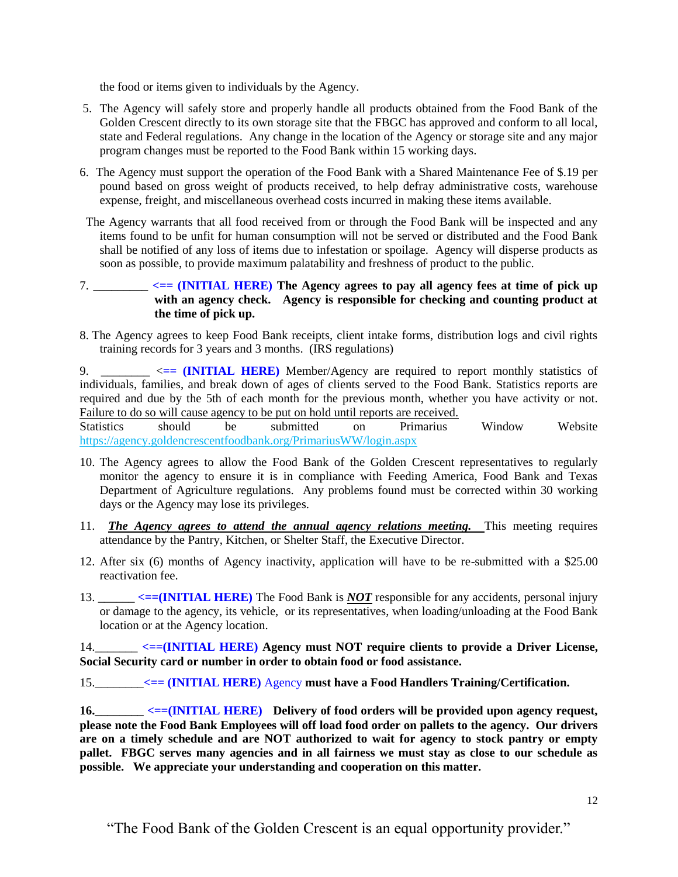the food or items given to individuals by the Agency.

- 5. The Agency will safely store and properly handle all products obtained from the Food Bank of the Golden Crescent directly to its own storage site that the FBGC has approved and conform to all local, state and Federal regulations. Any change in the location of the Agency or storage site and any major program changes must be reported to the Food Bank within 15 working days.
- 6. The Agency must support the operation of the Food Bank with a Shared Maintenance Fee of \$.19 per pound based on gross weight of products received, to help defray administrative costs, warehouse expense, freight, and miscellaneous overhead costs incurred in making these items available.
- The Agency warrants that all food received from or through the Food Bank will be inspected and any items found to be unfit for human consumption will not be served or distributed and the Food Bank shall be notified of any loss of items due to infestation or spoilage. Agency will disperse products as soon as possible, to provide maximum palatability and freshness of product to the public.
- 7. **\_\_\_\_\_\_\_\_\_ <== (INITIAL HERE) The Agency agrees to pay all agency fees at time of pick up with an agency check. Agency is responsible for checking and counting product at the time of pick up.**
- 8. The Agency agrees to keep Food Bank receipts, client intake forms, distribution logs and civil rights training records for 3 years and 3 months. (IRS regulations)

9. \_\_\_\_\_\_\_\_ <**== (INITIAL HERE)** Member/Agency are required to report monthly statistics of individuals, families, and break down of ages of clients served to the Food Bank. Statistics reports are required and due by the 5th of each month for the previous month, whether you have activity or not. Failure to do so will cause agency to be put on hold until reports are received.

Statistics should be submitted on Primarius Window Website https://agency.goldencrescentfoodbank.org/PrimariusWW/login.aspx

- 10. The Agency agrees to allow the Food Bank of the Golden Crescent representatives to regularly monitor the agency to ensure it is in compliance with Feeding America, Food Bank and Texas Department of Agriculture regulations. Any problems found must be corrected within 30 working days or the Agency may lose its privileges.
- 11. *The Agency agrees to attend the annual agency relations meeting.* This meeting requires attendance by the Pantry, Kitchen, or Shelter Staff, the Executive Director.
- 12. After six (6) months of Agency inactivity, application will have to be re-submitted with a \$25.00 reactivation fee.
- 13. \_\_\_\_\_\_ **<==(INITIAL HERE)** The Food Bank is *NOT* responsible for any accidents, personal injury or damage to the agency, its vehicle, or its representatives, when loading/unloading at the Food Bank location or at the Agency location.

14.\_\_\_\_\_\_\_ **<==(INITIAL HERE) Agency must NOT require clients to provide a Driver License, Social Security card or number in order to obtain food or food assistance.**

15.\_\_\_\_\_\_\_\_**<== (INITIAL HERE)** Agency **must have a Food Handlers Training/Certification.**

**16.\_\_\_\_\_\_\_\_ <==(INITIAL HERE) Delivery of food orders will be provided upon agency request, please note the Food Bank Employees will off load food order on pallets to the agency. Our drivers are on a timely schedule and are NOT authorized to wait for agency to stock pantry or empty pallet. FBGC serves many agencies and in all fairness we must stay as close to our schedule as possible. We appreciate your understanding and cooperation on this matter.**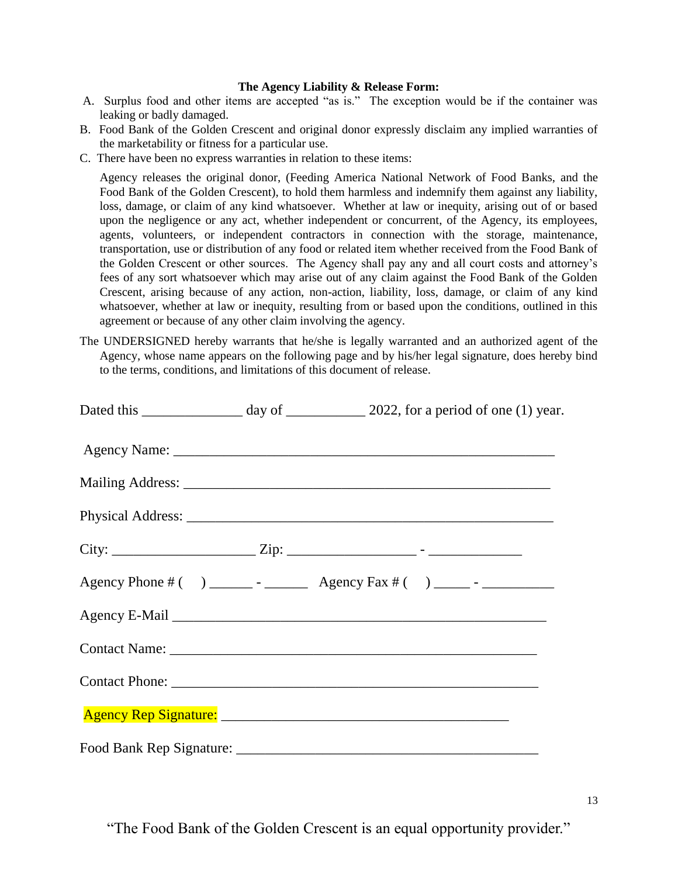#### **The Agency Liability & Release Form:**

- A. Surplus food and other items are accepted "as is." The exception would be if the container was leaking or badly damaged.
- B. Food Bank of the Golden Crescent and original donor expressly disclaim any implied warranties of the marketability or fitness for a particular use.
- C. There have been no express warranties in relation to these items:

Agency releases the original donor, (Feeding America National Network of Food Banks, and the Food Bank of the Golden Crescent), to hold them harmless and indemnify them against any liability, loss, damage, or claim of any kind whatsoever. Whether at law or inequity, arising out of or based upon the negligence or any act, whether independent or concurrent, of the Agency, its employees, agents, volunteers, or independent contractors in connection with the storage, maintenance, transportation, use or distribution of any food or related item whether received from the Food Bank of the Golden Crescent or other sources. The Agency shall pay any and all court costs and attorney's fees of any sort whatsoever which may arise out of any claim against the Food Bank of the Golden Crescent, arising because of any action, non-action, liability, loss, damage, or claim of any kind whatsoever, whether at law or inequity, resulting from or based upon the conditions, outlined in this agreement or because of any other claim involving the agency.

The UNDERSIGNED hereby warrants that he/she is legally warranted and an authorized agent of the Agency, whose name appears on the following page and by his/her legal signature, does hereby bind to the terms, conditions, and limitations of this document of release.

|  | Dated this __________________ day of ______________ 2022, for a period of one (1) year. |
|--|-----------------------------------------------------------------------------------------|
|  |                                                                                         |
|  |                                                                                         |
|  |                                                                                         |
|  |                                                                                         |
|  | Agency Phone # () _______ - __________ Agency Fax # () ______ - _______________         |
|  |                                                                                         |
|  |                                                                                         |
|  |                                                                                         |
|  |                                                                                         |
|  |                                                                                         |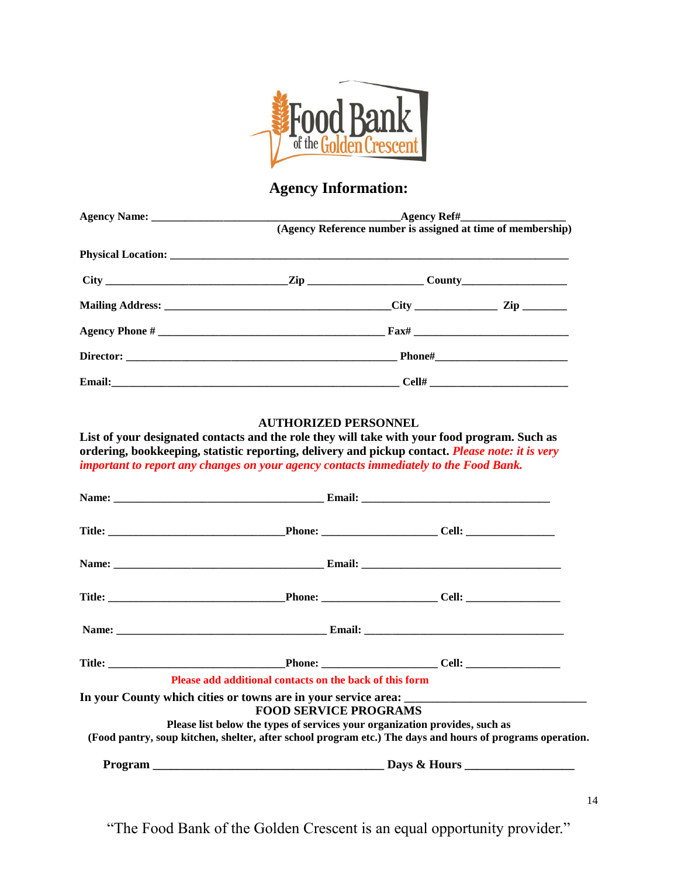

# **Agency Information:**

| (Agency Reference number is assigned at time of membership) |  |  |  |
|-------------------------------------------------------------|--|--|--|
|                                                             |  |  |  |
|                                                             |  |  |  |
|                                                             |  |  |  |
|                                                             |  |  |  |
|                                                             |  |  |  |
|                                                             |  |  |  |

#### **AUTHORIZED PERSONNEL**

**List of your designated contacts and the role they will take with your food program. Such as ordering, bookkeeping, statistic reporting, delivery and pickup contact.** *Please note: it is very important to report any changes on your agency contacts immediately to the Food Bank.*

| Please add additional contacts on the back of this form                                                                                                                                                                  |  |
|--------------------------------------------------------------------------------------------------------------------------------------------------------------------------------------------------------------------------|--|
| <b>FOOD SERVICE PROGRAMS</b><br>Please list below the types of services your organization provides, such as<br>(Food pantry, soup kitchen, shelter, after school program etc.) The days and hours of programs operation. |  |
|                                                                                                                                                                                                                          |  |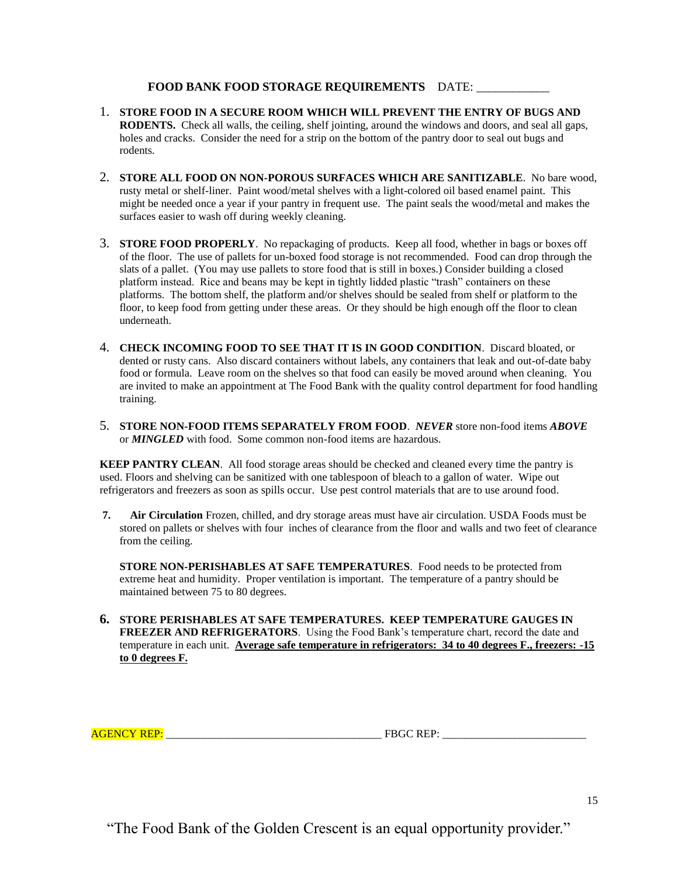#### FOOD BANK FOOD STORAGE REQUIREMENTS DATE:

- 1. **STORE FOOD IN A SECURE ROOM WHICH WILL PREVENT THE ENTRY OF BUGS AND RODENTS.** Check all walls, the ceiling, shelf jointing, around the windows and doors, and seal all gaps, holes and cracks. Consider the need for a strip on the bottom of the pantry door to seal out bugs and rodents.
- 2. **STORE ALL FOOD ON NON-POROUS SURFACES WHICH ARE SANITIZABLE**. No bare wood, rusty metal or shelf-liner. Paint wood/metal shelves with a light-colored oil based enamel paint. This might be needed once a year if your pantry in frequent use. The paint seals the wood/metal and makes the surfaces easier to wash off during weekly cleaning.
- 3. **STORE FOOD PROPERLY**. No repackaging of products. Keep all food, whether in bags or boxes off of the floor. The use of pallets for un-boxed food storage is not recommended. Food can drop through the slats of a pallet. (You may use pallets to store food that is still in boxes.) Consider building a closed platform instead. Rice and beans may be kept in tightly lidded plastic "trash" containers on these platforms. The bottom shelf, the platform and/or shelves should be sealed from shelf or platform to the floor, to keep food from getting under these areas. Or they should be high enough off the floor to clean underneath.
- 4. **CHECK INCOMING FOOD TO SEE THAT IT IS IN GOOD CONDITION**. Discard bloated, or dented or rusty cans. Also discard containers without labels, any containers that leak and out-of-date baby food or formula. Leave room on the shelves so that food can easily be moved around when cleaning. You are invited to make an appointment at The Food Bank with the quality control department for food handling training.
- 5. **STORE NON-FOOD ITEMS SEPARATELY FROM FOOD**. *NEVER* store non-food items *ABOVE* or *MINGLED* with food. Some common non-food items are hazardous.

**KEEP PANTRY CLEAN.** All food storage areas should be checked and cleaned every time the pantry is used. Floors and shelving can be sanitized with one tablespoon of bleach to a gallon of water. Wipe out refrigerators and freezers as soon as spills occur. Use pest control materials that are to use around food.

**7. Air Circulation** Frozen, chilled, and dry storage areas must have air circulation. USDA Foods must be stored on pallets or shelves with four inches of clearance from the floor and walls and two feet of clearance from the ceiling.

**STORE NON-PERISHABLES AT SAFE TEMPERATURES**. Food needs to be protected from extreme heat and humidity. Proper ventilation is important. The temperature of a pantry should be maintained between 75 to 80 degrees.

**6. STORE PERISHABLES AT SAFE TEMPERATURES. KEEP TEMPERATURE GAUGES IN FREEZER AND REFRIGERATORS**. Using the Food Bank's temperature chart, record the date and temperature in each unit. **Average safe temperature in refrigerators: 34 to 40 degrees F., freezers: -15 to 0 degrees F.**

AGENCY REP: \_\_\_\_\_\_\_\_\_\_\_\_\_\_\_\_\_\_\_\_\_\_\_\_\_\_\_\_\_\_\_\_\_\_\_\_\_\_\_ FBGC REP: \_\_\_\_\_\_\_\_\_\_\_\_\_\_\_\_\_\_\_\_\_\_\_\_\_\_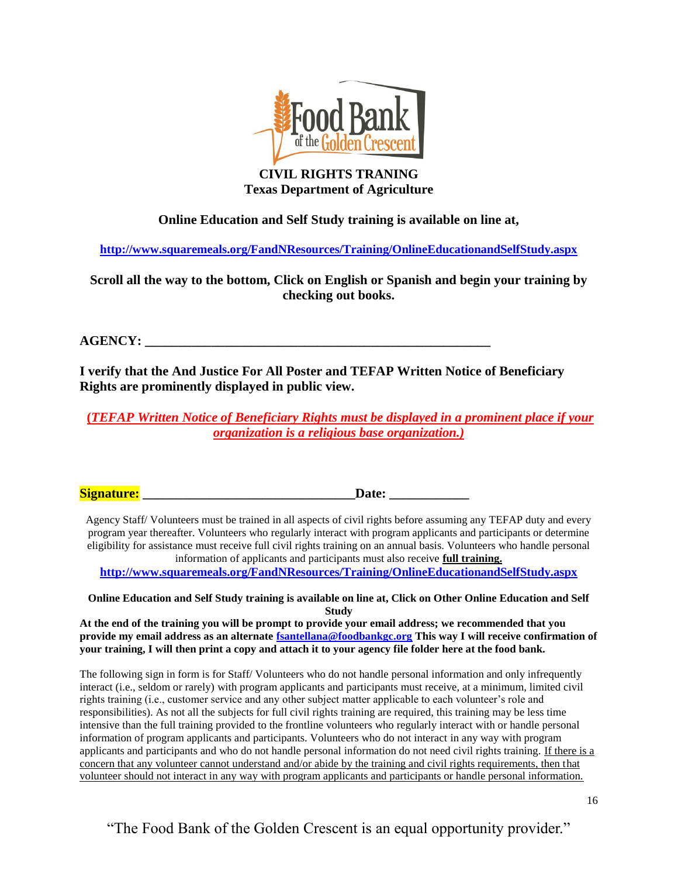

## **CIVIL RIGHTS TRANING Texas Department of Agriculture**

## **Online Education and Self Study training is available on line at,**

**<http://www.squaremeals.org/FandNResources/Training/OnlineEducationandSelfStudy.aspx>**

**Scroll all the way to the bottom, Click on English or Spanish and begin your training by checking out books.** 

## $AGENCY:$

**I verify that the And Justice For All Poster and TEFAP Written Notice of Beneficiary Rights are prominently displayed in public view.**

**(***TEFAP Written Notice of Beneficiary Rights must be displayed in a prominent place if your organization is a religious base organization.)*

**Signature: and the set of the set of the set of the Signature:**  $\mathbf{Date:}$ 

Agency Staff/ Volunteers must be trained in all aspects of civil rights before assuming any TEFAP duty and every program year thereafter. Volunteers who regularly interact with program applicants and participants or determine eligibility for assistance must receive full civil rights training on an annual basis. Volunteers who handle personal information of applicants and participants must also receive **full training.**

**<http://www.squaremeals.org/FandNResources/Training/OnlineEducationandSelfStudy.aspx>**

**Online Education and Self Study training is available on line at, Click on Other Online Education and Self Study**

**At the end of the training you will be prompt to provide your email address; we recommended that you provide my email address as an alternate fsantellana@foodbankgc.org This way I will receive confirmation of your training, I will then print a copy and attach it to your agency file folder here at the food bank.**

The following sign in form is for Staff/ Volunteers who do not handle personal information and only infrequently interact (i.e., seldom or rarely) with program applicants and participants must receive, at a minimum, limited civil rights training (i.e., customer service and any other subject matter applicable to each volunteer's role and responsibilities). As not all the subjects for full civil rights training are required, this training may be less time intensive than the full training provided to the frontline volunteers who regularly interact with or handle personal information of program applicants and participants. Volunteers who do not interact in any way with program applicants and participants and who do not handle personal information do not need civil rights training. If there is a concern that any volunteer cannot understand and/or abide by the training and civil rights requirements, then that volunteer should not interact in any way with program applicants and participants or handle personal information.